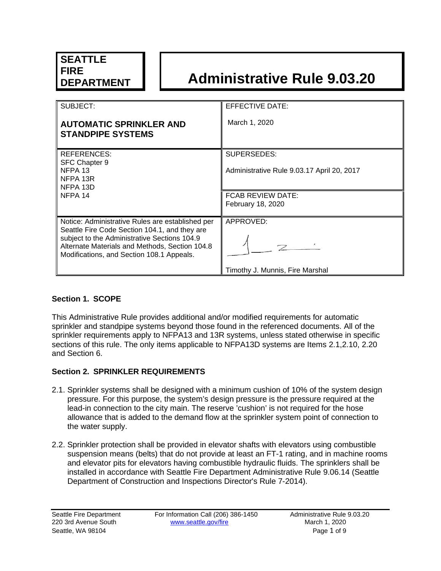# **DEPARTMENT Administrative Rule 9.03.20**

| SUBJECT:                                                                                                                                                                                     | EFFECTIVE DATE:                            |
|----------------------------------------------------------------------------------------------------------------------------------------------------------------------------------------------|--------------------------------------------|
| <b>AUTOMATIC SPRINKLER AND</b><br><b>STANDPIPE SYSTEMS</b>                                                                                                                                   | March 1, 2020                              |
| REFERENCES:                                                                                                                                                                                  | SUPERSEDES:                                |
| SFC Chapter 9<br>NFPA 13<br>NFPA 13R<br>NFPA 13D                                                                                                                                             | Administrative Rule 9.03.17 April 20, 2017 |
| NFPA 14                                                                                                                                                                                      | <b>FCAB REVIEW DATE:</b>                   |
|                                                                                                                                                                                              | <b>February 18, 2020</b>                   |
|                                                                                                                                                                                              |                                            |
| Notice: Administrative Rules are established per                                                                                                                                             | APPROVED:                                  |
| Seattle Fire Code Section 104.1, and they are<br>subject to the Administrative Sections 104.9<br>Alternate Materials and Methods, Section 104.8<br>Modifications, and Section 108.1 Appeals. |                                            |
|                                                                                                                                                                                              | Timothy J. Munnis, Fire Marshal            |

# **Section 1. SCOPE**

This Administrative Rule provides additional and/or modified requirements for automatic sprinkler and standpipe systems beyond those found in the referenced documents. All of the sprinkler requirements apply to NFPA13 and 13R systems, unless stated otherwise in specific sections of this rule. The only items applicable to NFPA13D systems are Items 2.1,2.10, 2.20 and Section 6.

## **Section 2. SPRINKLER REQUIREMENTS**

- 2.1. Sprinkler systems shall be designed with a minimum cushion of 10% of the system design pressure. For this purpose, the system's design pressure is the pressure required at the lead-in connection to the city main. The reserve 'cushion' is not required for the hose allowance that is added to the demand flow at the sprinkler system point of connection to the water supply.
- 2.2. Sprinkler protection shall be provided in elevator shafts with elevators using combustible suspension means (belts) that do not provide at least an FT-1 rating, and in machine rooms and elevator pits for elevators having combustible hydraulic fluids. The sprinklers shall be installed in accordance with Seattle Fire Department Administrative Rule 9.06.14 (Seattle Department of Construction and Inspections Director's Rule 7-2014).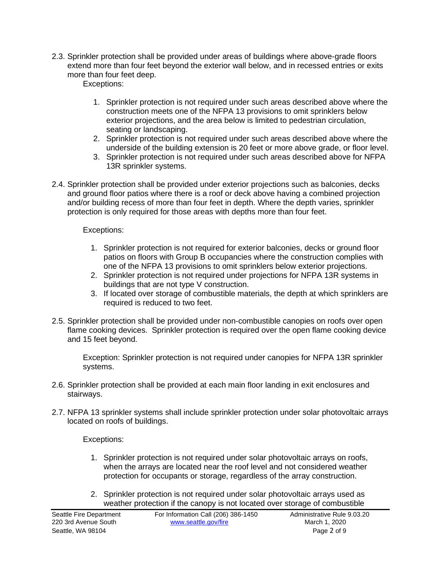2.3. Sprinkler protection shall be provided under areas of buildings where above-grade floors extend more than four feet beyond the exterior wall below, and in recessed entries or exits more than four feet deep.

Exceptions:

- 1. Sprinkler protection is not required under such areas described above where the construction meets one of the NFPA 13 provisions to omit sprinklers below exterior projections, and the area below is limited to pedestrian circulation, seating or landscaping.
- 2. Sprinkler protection is not required under such areas described above where the underside of the building extension is 20 feet or more above grade, or floor level.
- 3. Sprinkler protection is not required under such areas described above for NFPA 13R sprinkler systems.
- 2.4. Sprinkler protection shall be provided under exterior projections such as balconies, decks and ground floor patios where there is a roof or deck above having a combined projection and/or building recess of more than four feet in depth. Where the depth varies, sprinkler protection is only required for those areas with depths more than four feet.

## Exceptions:

- 1. Sprinkler protection is not required for exterior balconies, decks or ground floor patios on floors with Group B occupancies where the construction complies with one of the NFPA 13 provisions to omit sprinklers below exterior projections.
- 2. Sprinkler protection is not required under projections for NFPA 13R systems in buildings that are not type V construction.
- 3. If located over storage of combustible materials, the depth at which sprinklers are required is reduced to two feet.
- 2.5. Sprinkler protection shall be provided under non-combustible canopies on roofs over open flame cooking devices. Sprinkler protection is required over the open flame cooking device and 15 feet beyond.

Exception: Sprinkler protection is not required under canopies for NFPA 13R sprinkler systems.

- 2.6. Sprinkler protection shall be provided at each main floor landing in exit enclosures and stairways.
- 2.7. NFPA 13 sprinkler systems shall include sprinkler protection under solar photovoltaic arrays located on roofs of buildings.

Exceptions:

- 1. Sprinkler protection is not required under solar photovoltaic arrays on roofs, when the arrays are located near the roof level and not considered weather protection for occupants or storage, regardless of the array construction.
- 2. Sprinkler protection is not required under solar photovoltaic arrays used as weather protection if the canopy is not located over storage of combustible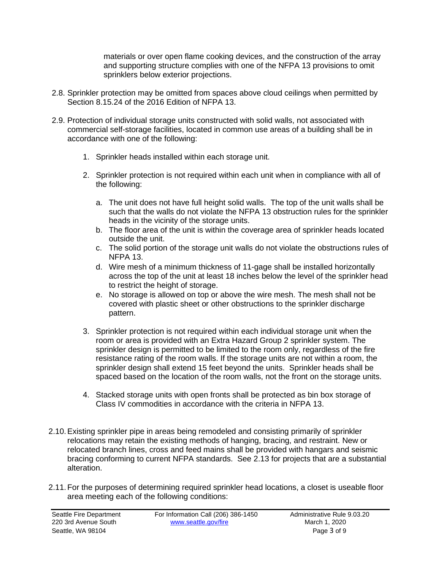materials or over open flame cooking devices, and the construction of the array and supporting structure complies with one of the NFPA 13 provisions to omit sprinklers below exterior projections.

- 2.8. Sprinkler protection may be omitted from spaces above cloud ceilings when permitted by Section 8.15.24 of the 2016 Edition of NFPA 13.
- 2.9. Protection of individual storage units constructed with solid walls, not associated with commercial self-storage facilities, located in common use areas of a building shall be in accordance with one of the following:
	- 1. Sprinkler heads installed within each storage unit.
	- 2. Sprinkler protection is not required within each unit when in compliance with all of the following:
		- a. The unit does not have full height solid walls. The top of the unit walls shall be such that the walls do not violate the NFPA 13 obstruction rules for the sprinkler heads in the vicinity of the storage units.
		- b. The floor area of the unit is within the coverage area of sprinkler heads located outside the unit.
		- c. The solid portion of the storage unit walls do not violate the obstructions rules of NFPA 13.
		- d. Wire mesh of a minimum thickness of 11-gage shall be installed horizontally across the top of the unit at least 18 inches below the level of the sprinkler head to restrict the height of storage.
		- e. No storage is allowed on top or above the wire mesh. The mesh shall not be covered with plastic sheet or other obstructions to the sprinkler discharge pattern.
	- 3. Sprinkler protection is not required within each individual storage unit when the room or area is provided with an Extra Hazard Group 2 sprinkler system. The sprinkler design is permitted to be limited to the room only, regardless of the fire resistance rating of the room walls. If the storage units are not within a room, the sprinkler design shall extend 15 feet beyond the units. Sprinkler heads shall be spaced based on the location of the room walls, not the front on the storage units.
	- 4. Stacked storage units with open fronts shall be protected as bin box storage of Class IV commodities in accordance with the criteria in NFPA 13.
- 2.10.Existing sprinkler pipe in areas being remodeled and consisting primarily of sprinkler relocations may retain the existing methods of hanging, bracing, and restraint. New or relocated branch lines, cross and feed mains shall be provided with hangars and seismic bracing conforming to current NFPA standards. See 2.13 for projects that are a substantial alteration.
- 2.11.For the purposes of determining required sprinkler head locations, a closet is useable floor area meeting each of the following conditions: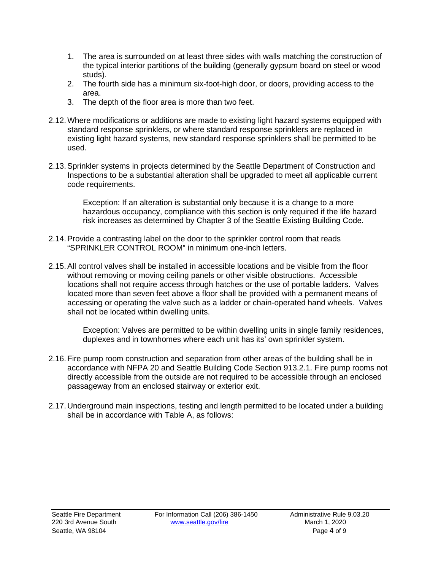- 1. The area is surrounded on at least three sides with walls matching the construction of the typical interior partitions of the building (generally gypsum board on steel or wood studs).
- 2. The fourth side has a minimum six-foot-high door, or doors, providing access to the area.
- 3. The depth of the floor area is more than two feet.
- 2.12.Where modifications or additions are made to existing light hazard systems equipped with standard response sprinklers, or where standard response sprinklers are replaced in existing light hazard systems, new standard response sprinklers shall be permitted to be used.
- 2.13.Sprinkler systems in projects determined by the Seattle Department of Construction and Inspections to be a substantial alteration shall be upgraded to meet all applicable current code requirements.

Exception: If an alteration is substantial only because it is a change to a more hazardous occupancy, compliance with this section is only required if the life hazard risk increases as determined by Chapter 3 of the Seattle Existing Building Code.

- 2.14.Provide a contrasting label on the door to the sprinkler control room that reads "SPRINKLER CONTROL ROOM" in minimum one-inch letters.
- 2.15.All control valves shall be installed in accessible locations and be visible from the floor without removing or moving ceiling panels or other visible obstructions. Accessible locations shall not require access through hatches or the use of portable ladders. Valves located more than seven feet above a floor shall be provided with a permanent means of accessing or operating the valve such as a ladder or chain-operated hand wheels. Valves shall not be located within dwelling units.

Exception: Valves are permitted to be within dwelling units in single family residences, duplexes and in townhomes where each unit has its' own sprinkler system.

- 2.16.Fire pump room construction and separation from other areas of the building shall be in accordance with NFPA 20 and Seattle Building Code Section 913.2.1. Fire pump rooms not directly accessible from the outside are not required to be accessible through an enclosed passageway from an enclosed stairway or exterior exit.
- 2.17. Underground main inspections, testing and length permitted to be located under a building shall be in accordance with Table A, as follows: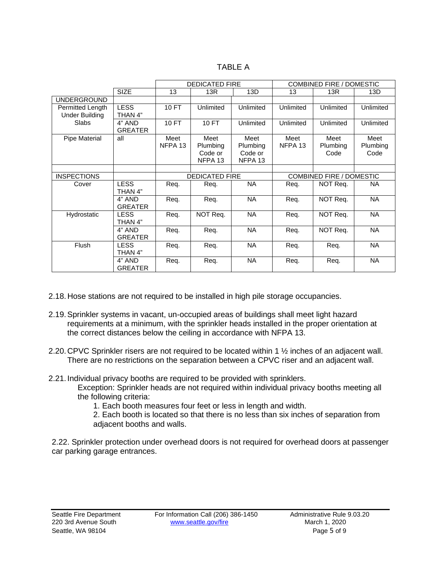| ۰B<br>н. |  |
|----------|--|
|----------|--|

|                                           |                          | <b>DEDICATED FIRE</b> |                                        | <b>COMBINED FIRE / DOMESTIC</b>        |                            |                          |                          |
|-------------------------------------------|--------------------------|-----------------------|----------------------------------------|----------------------------------------|----------------------------|--------------------------|--------------------------|
|                                           | <b>SIZE</b>              | 13                    | 13R                                    | 13D                                    | 13                         | 13R                      | 13D                      |
| <b>UNDERGROUND</b>                        |                          |                       |                                        |                                        |                            |                          |                          |
| Permitted Length<br><b>Under Building</b> | <b>LESS</b><br>THAN 4"   | 10 FT                 | Unlimited                              | Unlimited                              | Unlimited                  | Unlimited                | Unlimited                |
| <b>Slabs</b>                              | 4" AND<br><b>GREATER</b> | <b>10 FT</b>          | 10 FT                                  | Unlimited                              | Unlimited                  | Unlimited                | Unlimited                |
| Pipe Material                             | all                      | Meet<br>NFPA 13       | Meet<br>Plumbing<br>Code or<br>NFPA 13 | Meet<br>Plumbing<br>Code or<br>NFPA 13 | Meet<br>NFPA <sub>13</sub> | Meet<br>Plumbing<br>Code | Meet<br>Plumbing<br>Code |
| <b>INSPECTIONS</b>                        |                          | <b>DEDICATED FIRE</b> |                                        | <b>COMBINED FIRE / DOMESTIC</b>        |                            |                          |                          |
| Cover                                     | <b>LESS</b><br>THAN 4"   | Req.                  | Req.                                   | NA.                                    | Req.                       | NOT Req.                 | ΝA                       |
|                                           | 4" AND<br><b>GREATER</b> | Req.                  | Reg.                                   | <b>NA</b>                              | Req.                       | NOT Req.                 | <b>NA</b>                |
| Hydrostatic                               | <b>LESS</b><br>THAN 4"   | Req.                  | NOT Req.                               | <b>NA</b>                              | Req.                       | NOT Req.                 | <b>NA</b>                |
|                                           | 4" AND<br><b>GREATER</b> | Req.                  | Req.                                   | <b>NA</b>                              | Req.                       | NOT Req.                 | <b>NA</b>                |
| Flush                                     | <b>LESS</b><br>THAN 4"   | Req.                  | Req.                                   | <b>NA</b>                              | Req.                       | Req.                     | <b>NA</b>                |
|                                           | 4" AND<br><b>GREATER</b> | Req.                  | Req.                                   | <b>NA</b>                              | Req.                       | Req.                     | <b>NA</b>                |

- 2.18. Hose stations are not required to be installed in high pile storage occupancies.
- 2.19.Sprinkler systems in vacant, un-occupied areas of buildings shall meet light hazard requirements at a minimum, with the sprinkler heads installed in the proper orientation at the correct distances below the ceiling in accordance with NFPA 13.
- 2.20. CPVC Sprinkler risers are not required to be located within 1 ½ inches of an adjacent wall. There are no restrictions on the separation between a CPVC riser and an adjacent wall.
- 2.21. Individual privacy booths are required to be provided with sprinklers.

Exception: Sprinkler heads are not required within individual privacy booths meeting all the following criteria:

1. Each booth measures four feet or less in length and width.

2. Each booth is located so that there is no less than six inches of separation from adjacent booths and walls.

2.22. Sprinkler protection under overhead doors is not required for overhead doors at passenger car parking garage entrances.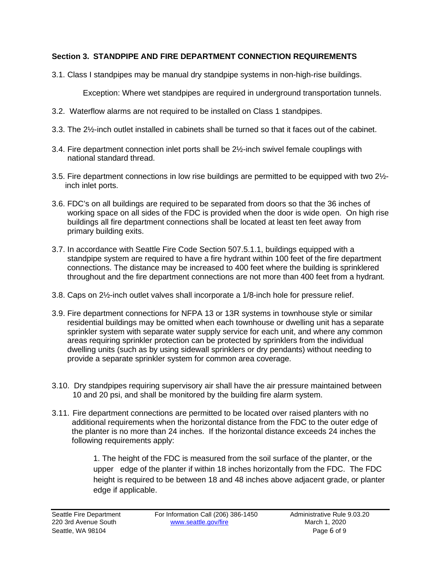# **3. Section 3. STANDPIPE AND FIRE DEPARTMENT CONNECTION REQUIREMENTS**

3.1. Class I standpipes may be manual dry standpipe systems in non-high-rise buildings.

Exception: Where wet standpipes are required in underground transportation tunnels.

- 3.2. Waterflow alarms are not required to be installed on Class 1 standpipes.
- 3.3. The 2½-inch outlet installed in cabinets shall be turned so that it faces out of the cabinet.
- 3.4. Fire department connection inlet ports shall be 2½-inch swivel female couplings with national standard thread.
- 3.5. Fire department connections in low rise buildings are permitted to be equipped with two 2½ inch inlet ports.
- 3.6. FDC's on all buildings are required to be separated from doors so that the 36 inches of working space on all sides of the FDC is provided when the door is wide open. On high rise buildings all fire department connections shall be located at least ten feet away from primary building exits.
- 3.7. In accordance with Seattle Fire Code Section 507.5.1.1, buildings equipped with a standpipe system are required to have a fire hydrant within 100 feet of the fire department connections. The distance may be increased to 400 feet where the building is sprinklered throughout and the fire department connections are not more than 400 feet from a hydrant.
- 3.8. Caps on 2½-inch outlet valves shall incorporate a 1/8-inch hole for pressure relief.
- 3.9. Fire department connections for NFPA 13 or 13R systems in townhouse style or similar residential buildings may be omitted when each townhouse or dwelling unit has a separate sprinkler system with separate water supply service for each unit, and where any common areas requiring sprinkler protection can be protected by sprinklers from the individual dwelling units (such as by using sidewall sprinklers or dry pendants) without needing to provide a separate sprinkler system for common area coverage.
- 3.10. Dry standpipes requiring supervisory air shall have the air pressure maintained between 10 and 20 psi, and shall be monitored by the building fire alarm system.
- 3.11. Fire department connections are permitted to be located over raised planters with no additional requirements when the horizontal distance from the FDC to the outer edge of the planter is no more than 24 inches. If the horizontal distance exceeds 24 inches the following requirements apply:

1. The height of the FDC is measured from the soil surface of the planter, or the upper edge of the planter if within 18 inches horizontally from the FDC. The FDC height is required to be between 18 and 48 inches above adjacent grade, or planter edge if applicable.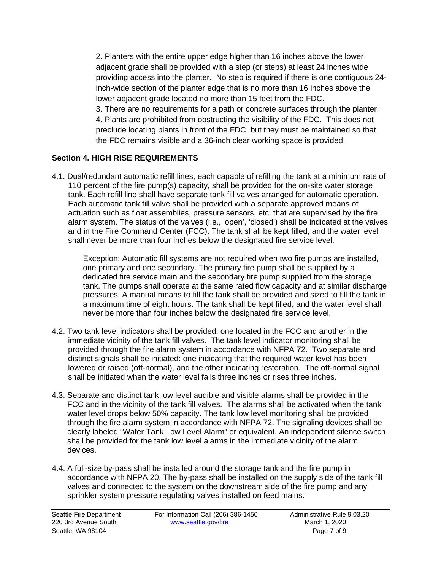2. Planters with the entire upper edge higher than 16 inches above the lower adjacent grade shall be provided with a step (or steps) at least 24 inches wide providing access into the planter. No step is required if there is one contiguous 24 inch-wide section of the planter edge that is no more than 16 inches above the lower adjacent grade located no more than 15 feet from the FDC.

3. There are no requirements for a path or concrete surfaces through the planter. 4. Plants are prohibited from obstructing the visibility of the FDC. This does not preclude locating plants in front of the FDC, but they must be maintained so that the FDC remains visible and a 36-inch clear working space is provided.

# **Section 4. HIGH RISE REQUIREMENTS**

4.1. Dual/redundant automatic refill lines, each capable of refilling the tank at a minimum rate of 110 percent of the fire pump(s) capacity, shall be provided for the on-site water storage tank. Each refill line shall have separate tank fill valves arranged for automatic operation. Each automatic tank fill valve shall be provided with a separate approved means of actuation such as float assemblies, pressure sensors, etc. that are supervised by the fire alarm system. The status of the valves (i.e., 'open', 'closed') shall be indicated at the valves and in the Fire Command Center (FCC). The tank shall be kept filled, and the water level shall never be more than four inches below the designated fire service level.

Exception: Automatic fill systems are not required when two fire pumps are installed, one primary and one secondary. The primary fire pump shall be supplied by a dedicated fire service main and the secondary fire pump supplied from the storage tank. The pumps shall operate at the same rated flow capacity and at similar discharge pressures. A manual means to fill the tank shall be provided and sized to fill the tank in a maximum time of eight hours. The tank shall be kept filled, and the water level shall never be more than four inches below the designated fire service level.

- 4.2. Two tank level indicators shall be provided, one located in the FCC and another in the immediate vicinity of the tank fill valves. The tank level indicator monitoring shall be provided through the fire alarm system in accordance with NFPA 72. Two separate and distinct signals shall be initiated: one indicating that the required water level has been lowered or raised (off-normal), and the other indicating restoration. The off-normal signal shall be initiated when the water level falls three inches or rises three inches.
- 4.3. Separate and distinct tank low level audible and visible alarms shall be provided in the FCC and in the vicinity of the tank fill valves. The alarms shall be activated when the tank water level drops below 50% capacity. The tank low level monitoring shall be provided through the fire alarm system in accordance with NFPA 72. The signaling devices shall be clearly labeled "Water Tank Low Level Alarm" or equivalent. An independent silence switch shall be provided for the tank low level alarms in the immediate vicinity of the alarm devices.
- 4.4. A full-size by-pass shall be installed around the storage tank and the fire pump in accordance with NFPA 20. The by-pass shall be installed on the supply side of the tank fill valves and connected to the system on the downstream side of the fire pump and any sprinkler system pressure regulating valves installed on feed mains.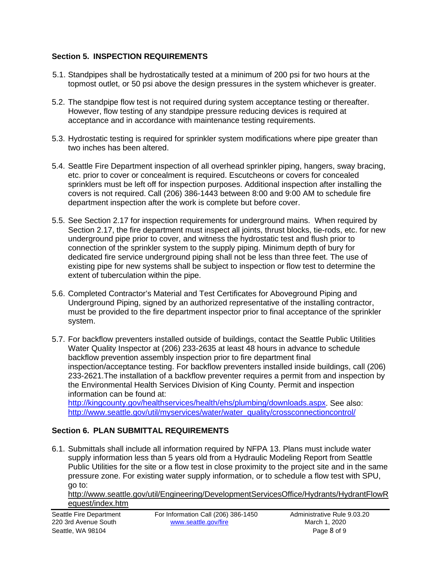## **Section 5. INSPECTION REQUIREMENTS**

- 5.1. Standpipes shall be hydrostatically tested at a minimum of 200 psi for two hours at the topmost outlet, or 50 psi above the design pressures in the system whichever is greater.
- 5.2. The standpipe flow test is not required during system acceptance testing or thereafter. However, flow testing of any standpipe pressure reducing devices is required at acceptance and in accordance with maintenance testing requirements.
- 5.3. Hydrostatic testing is required for sprinkler system modifications where pipe greater than two inches has been altered.
- 5.4. Seattle Fire Department inspection of all overhead sprinkler piping, hangers, sway bracing, etc. prior to cover or concealment is required. Escutcheons or covers for concealed sprinklers must be left off for inspection purposes. Additional inspection after installing the covers is not required. Call (206) 386-1443 between 8:00 and 9:00 AM to schedule fire department inspection after the work is complete but before cover.
- 5.5. See Section 2.17 for inspection requirements for underground mains. When required by Section 2.17, the fire department must inspect all joints, thrust blocks, tie-rods, etc. for new underground pipe prior to cover, and witness the hydrostatic test and flush prior to connection of the sprinkler system to the supply piping. Minimum depth of bury for dedicated fire service underground piping shall not be less than three feet. The use of existing pipe for new systems shall be subject to inspection or flow test to determine the extent of tuberculation within the pipe.
- 5.6. Completed Contractor's Material and Test Certificates for Aboveground Piping and Underground Piping, signed by an authorized representative of the installing contractor, must be provided to the fire department inspector prior to final acceptance of the sprinkler system.
- 5.7. For backflow preventers installed outside of buildings, contact the Seattle Public Utilities Water Quality Inspector at (206) 233-2635 at least 48 hours in advance to schedule backflow prevention assembly inspection prior to fire department final inspection/acceptance testing. For backflow preventers installed inside buildings, call (206) 233-2621.The installation of a backflow preventer requires a permit from and inspection by the Environmental Health Services Division of King County. Permit and inspection information can be found at: [http://kingcounty.gov/healthservices/health/ehs/plumbing/downloads.aspx.](http://kingcounty.gov/healthservices/health/ehs/plumbing/downloads.aspx) See also:

[http://www.seattle.gov/util/myservices/water/water\\_quality/crossconnectioncontrol/](http://www.seattle.gov/util/myservices/water/water_quality/crossconnectioncontrol/)

## **Section 6. PLAN SUBMITTAL REQUIREMENTS**

6.1. Submittals shall include all information required by NFPA 13. Plans must include water supply information less than 5 years old from a Hydraulic Modeling Report from Seattle Public Utilities for the site or a flow test in close proximity to the project site and in the same pressure zone. For existing water supply information, or to schedule a flow test with SPU, go to:

[http://www.seattle.gov/util/Engineering/DevelopmentServicesOffice/Hydrants/HydrantFlowR](http://www.seattle.gov/util/Engineering/DevelopmentServicesOffice/Hydrants/HydrantFlowRequest/index.htm) [equest/index.htm](http://www.seattle.gov/util/Engineering/DevelopmentServicesOffice/Hydrants/HydrantFlowRequest/index.htm)

| Seattle Fire Department | For Information Call (206) 386-1450 | Administrative Rule |
|-------------------------|-------------------------------------|---------------------|
| 220 3rd Avenue South    | www.seattle.gov/fire                | March 1, 2020       |
| Seattle, WA 98104       |                                     | Page 8 of 9         |